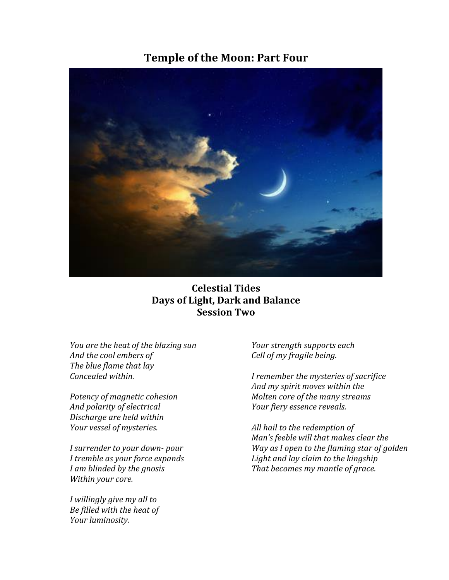# **Temple of the Moon: Part Four**



## **Celestial Tides Days of Light, Dark and Balance Session Two**

*You are the heat of the blazing sun And the cool embers of The blue flame that lay Concealed within.*

*Potency of magnetic cohesion And polarity of electrical Discharge are held within Your vessel of mysteries.*

*I surrender to your down- pour I tremble as your force expands I am blinded by the gnosis* Within your core.

*I* willingly give my all to *Be filled with the heat of Your luminosity.*

*Your strength supports each Cell of my fragile being.*

*I* remember the mysteries of sacrifice *And my spirit moves within the Molten core of the many streams Your fiery essence reveals.*

All hail to the redemption of *Man's* feeble will that makes clear the *Way* as *I* open to the flaming star of golden Light and lay claim to the kingship That becomes my mantle of grace.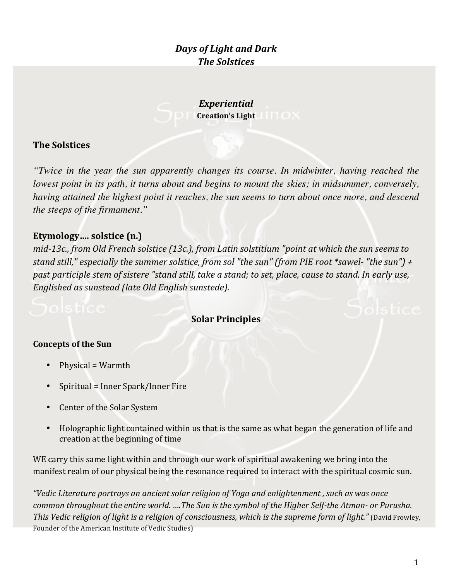# *Days of Light and Dark The Solstices*

*Experiential* **Creation's Light** 

## **The Solstices**

*"Twice in the year the sun apparently changes its course. In midwinter, having reached the lowest point in its path, it turns about and begins to mount the skies; in midsummer, conversely, having attained the highest point it reaches, the sun seems to turn about once more, and descend the steeps of the firmament."*

## **Etymology.... solstice (n.)**

*mid-13c., from Old French solstice (13c.), from Latin solstitium "point at which the sun seems to stand still,"* especially the summer solstice, from sol "the sun" (from PIE root \*sawel- "the sun") + *past participle stem of sistere "stand still, take a stand; to set, place, cause to stand. In early use, Englished as sunstead (late Old English sunstede).* 

## **Solar Principles**

### **Concepts of the Sun**

- Physical  $=$  Warmth
- Spiritual = Inner Spark/Inner Fire
- Center of the Solar System
- Holographic light contained within us that is the same as what began the generation of life and creation at the beginning of time

WE carry this same light within and through our work of spiritual awakening we bring into the manifest realm of our physical being the resonance required to interact with the spiritual cosmic sun.

"Vedic Literature portrays an ancient solar religion of Yoga and enlightenment, such as was once *common throughout the entire world.* ....The Sun is the symbol of the Higher Self-the Atman- or Purusha. *This Vedic religion of light is a religion of consciousness, which is the supreme form of light."* (David Frowley, Founder of the American Institute of Vedic Studies)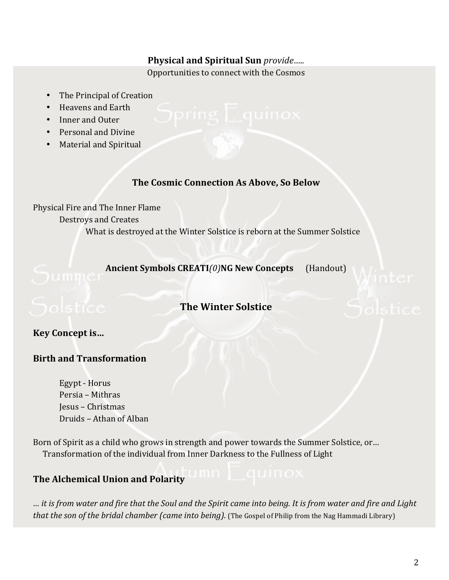### **Physical and Spiritual Sun** *provide.....*

Opportunities to connect with the Cosmos

- The Principal of Creation
- Heavens and Earth
- Inner and Outer
- Personal and Divine
- **Material and Spiritual**

### **The Cosmic Connection As Above, So Below**

Physical Fire and The Inner Flame Destroys and Creates What is destroyed at the Winter Solstice is reborn at the Summer Solstice

**Ancient Symbols CREATI**(0)**NG New Concepts** (Handout)

## **The Winter Solstice**

**Key Concept is...** 

## **Birth and Transformation**

Egypt - Horus Persia - Mithras Jesus – Christmas Druids – Athan of Alban

Born of Spirit as a child who grows in strength and power towards the Summer Solstice, or... Transformation of the individual from Inner Darkness to the Fullness of Light

## **The Alchemical Union and Polarity**

*… it is from water and fire that the Soul and the Spirit came into being. It is from water and fire and Light that the son of the bridal chamber (came into being).* (The Gospel of Philip from the Nag Hammadi Library)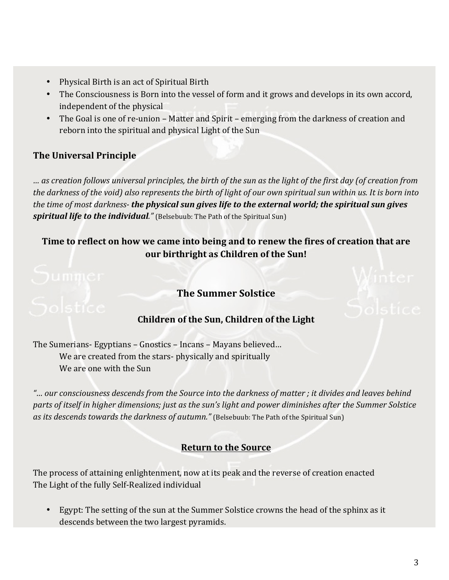- Physical Birth is an act of Spiritual Birth
- The Consciousness is Born into the vessel of form and it grows and develops in its own accord, independent of the physical
- The Goal is one of re-union Matter and Spirit emerging from the darkness of creation and reborn into the spiritual and physical Light of the Sun

## **The Universal Principle**

*… as creation follows universal principles, the birth of the sun as the light of the first day (of creation from the darkness of the void)* also represents the birth of light of our own spiritual sun within us. It is born into *the time of most darkness- the physical sun gives life to the external world; the spiritual sun gives* **spiritual life to the individual.**" (Belsebuub: The Path of the Spiritual Sun)

# Time to reflect on how we came into being and to renew the fires of creation that are **our birthright as Children of the Sun!**

# **The Summer Solstice**

## **Children of the Sun, Children of the Light**

The Sumerians- Egyptians – Gnostics – Incans – Mayans believed... We are created from the stars- physically and spiritually We are one with the Sun

"... our consciousness descends from the Source into the darkness of matter ; it divides and leaves behind parts of itself in higher dimensions; just as the sun's light and power diminishes after the Summer Solstice as its descends towards the darkness of autumn." (Belsebuub: The Path of the Spiritual Sun)

## **Return to the Source**

The process of attaining enlightenment, now at its peak and the reverse of creation enacted The Light of the fully Self-Realized individual

Egypt: The setting of the sun at the Summer Solstice crowns the head of the sphinx as it descends between the two largest pyramids.